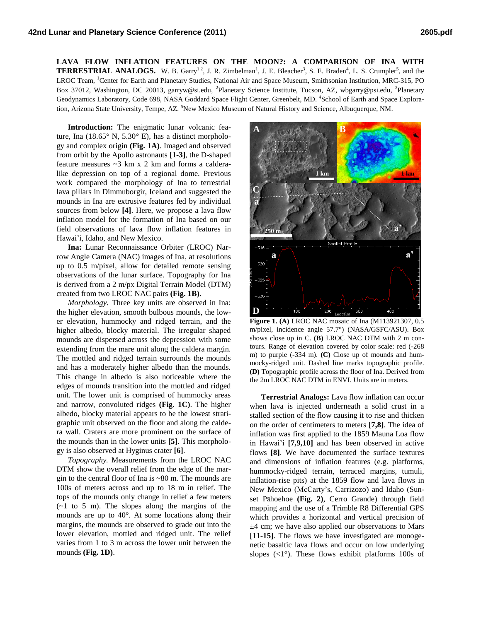**LAVA FLOW INFLATION FEATURES ON THE MOON?: A COMPARISON OF INA WITH TERRESTRIAL ANALOGS.** W. B. Garry<sup>1,2</sup>, J. R. Zimbelman<sup>1</sup>, J. E. Bleacher<sup>3</sup>, S. E. Braden<sup>4</sup>, L. S. Crumpler<sup>5</sup>, and the LROC Team, <sup>1</sup>Center for Earth and Planetary Studies, National Air and Space Museum, Smithsonian Institution, MRC-315, PO Box 37012, Washington, DC 20013, garryw@si.edu, <sup>2</sup>Planetary Science Institute, Tucson, AZ, wbgarry@psi.edu, <sup>3</sup>Planetary Geodynamics Laboratory, Code 698, NASA Goddard Space Flight Center, Greenbelt, MD. <sup>4</sup>School of Earth and Space Exploration, Arizona State University, Tempe, AZ. <sup>5</sup>New Mexico Museum of Natural History and Science, Albuquerque, NM.

**Introduction:** The enigmatic lunar volcanic feature, Ina (18.65° N, 5.30° E), has a distinct morphology and complex origin **(Fig. 1A)**. Imaged and observed from orbit by the Apollo astronauts **[1-3]**, the D-shaped feature measures ~3 km x 2 km and forms a calderalike depression on top of a regional dome. Previous work compared the morphology of Ina to terrestrial lava pillars in Dimmuborgir, Iceland and suggested the mounds in Ina are extrusive features fed by individual sources from below **[4]**. Here, we propose a lava flow inflation model for the formation of Ina based on our field observations of lava flow inflation features in Hawai'i, Idaho, and New Mexico.

**Ina:** Lunar Reconnaissance Orbiter (LROC) Narrow Angle Camera (NAC) images of Ina, at resolutions up to 0.5 m/pixel, allow for detailed remote sensing observations of the lunar surface. Topography for Ina is derived from a 2 m/px Digital Terrain Model (DTM) created from two LROC NAC pairs **(Fig. 1B)**.

*Morphology.* Three key units are observed in Ina: the higher elevation, smooth bulbous mounds, the lower elevation, hummocky and ridged terrain, and the higher albedo, blocky material. The irregular shaped mounds are dispersed across the depression with some extending from the mare unit along the caldera margin. The mottled and ridged terrain surrounds the mounds and has a moderately higher albedo than the mounds. This change in albedo is also noticeable where the edges of mounds transition into the mottled and ridged unit. The lower unit is comprised of hummocky areas and narrow, convoluted ridges **(Fig. 1C)**. The higher albedo, blocky material appears to be the lowest stratigraphic unit observed on the floor and along the caldera wall. Craters are more prominent on the surface of the mounds than in the lower units **[5]**. This morphology is also observed at Hyginus crater **[6]**.

*Topography.* Measurements from the LROC NAC DTM show the overall relief from the edge of the margin to the central floor of Ina is ~80 m. The mounds are 100s of meters across and up to 18 m in relief. The tops of the mounds only change in relief a few meters  $(-1)$  to 5 m). The slopes along the margins of the mounds are up to 40°. At some locations along their margins, the mounds are observed to grade out into the lower elevation, mottled and ridged unit. The relief varies from 1 to 3 m across the lower unit between the mounds **(Fig. 1D)**.



**Figure 1. (A)** LROC NAC mosaic of Ina (M113921307, 0.5 m/pixel, incidence angle 57.7°) (NASA/GSFC/ASU). Box shows close up in C. **(B)** LROC NAC DTM with 2 m contours. Range of elevation covered by color scale: red (-268 m) to purple (-334 m). **(C)** Close up of mounds and hummocky-ridged unit. Dashed line marks topographic profile. **(D)** Topographic profile across the floor of Ina. Derived from the 2m LROC NAC DTM in ENVI. Units are in meters.

**Terrestrial Analogs:** Lava flow inflation can occur when lava is injected underneath a solid crust in a stalled section of the flow causing it to rise and thicken on the order of centimeters to meters **[7,8]**. The idea of inflation was first applied to the 1859 Mauna Loa flow in Hawai'i **[7,9,10]** and has been observed in active flows **[8]**. We have documented the surface textures and dimensions of inflation features (e.g. platforms, hummocky-ridged terrain, terraced margins, tumuli, inflation-rise pits) at the 1859 flow and lava flows in New Mexico (McCarty's, Carrizozo) and Idaho (Sunset Pāhoehoe **(Fig. 2)**, Cerro Grande) through field mapping and the use of a Trimble R8 Differential GPS which provides a horizontal and vertical precision of ±4 cm; we have also applied our observations to Mars **[11-15]**. The flows we have investigated are monogenetic basaltic lava flows and occur on low underlying slopes  $\langle 1^{\circ} \rangle$ . These flows exhibit platforms 100s of